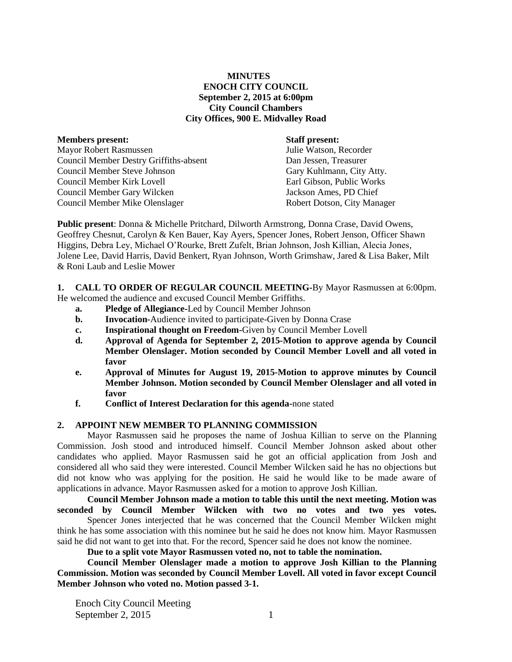# **MINUTES ENOCH CITY COUNCIL September 2, 2015 at 6:00pm City Council Chambers City Offices, 900 E. Midvalley Road**

| <b>Members present:</b>                       | <b>Staff present:</b>       |
|-----------------------------------------------|-----------------------------|
| <b>Mayor Robert Rasmussen</b>                 | Julie Watson, Recorder      |
| <b>Council Member Destry Griffiths-absent</b> | Dan Jessen, Treasurer       |
| <b>Council Member Steve Johnson</b>           | Gary Kuhlmann, City Atty.   |
| Council Member Kirk Lovell                    | Earl Gibson, Public Works   |
| Council Member Gary Wilcken                   | Jackson Ames, PD Chief      |
| <b>Council Member Mike Olenslager</b>         | Robert Dotson, City Manager |
|                                               |                             |

**Public present**: Donna & Michelle Pritchard, Dilworth Armstrong, Donna Crase, David Owens, Geoffrey Chesnut, Carolyn & Ken Bauer, Kay Ayers, Spencer Jones, Robert Jenson, Officer Shawn Higgins, Debra Ley, Michael O'Rourke, Brett Zufelt, Brian Johnson, Josh Killian, Alecia Jones, Jolene Lee, David Harris, David Benkert, Ryan Johnson, Worth Grimshaw, Jared & Lisa Baker, Milt & Roni Laub and Leslie Mower

**1. CALL TO ORDER OF REGULAR COUNCIL MEETING-**By Mayor Rasmussen at 6:00pm. He welcomed the audience and excused Council Member Griffiths.

- **a. Pledge of Allegiance-**Led by Council Member Johnson
- **b. Invocation-**Audience invited to participate-Given by Donna Crase
- **c. Inspirational thought on Freedom-**Given by Council Member Lovell
- **d. Approval of Agenda for September 2, 2015-Motion to approve agenda by Council Member Olenslager. Motion seconded by Council Member Lovell and all voted in favor**
- **e. Approval of Minutes for August 19, 2015-Motion to approve minutes by Council Member Johnson. Motion seconded by Council Member Olenslager and all voted in favor**
- **f. Conflict of Interest Declaration for this agenda-**none stated

### **2. APPOINT NEW MEMBER TO PLANNING COMMISSION**

Mayor Rasmussen said he proposes the name of Joshua Killian to serve on the Planning Commission. Josh stood and introduced himself. Council Member Johnson asked about other candidates who applied. Mayor Rasmussen said he got an official application from Josh and considered all who said they were interested. Council Member Wilcken said he has no objections but did not know who was applying for the position. He said he would like to be made aware of applications in advance. Mayor Rasmussen asked for a motion to approve Josh Killian.

**Council Member Johnson made a motion to table this until the next meeting. Motion was seconded by Council Member Wilcken with two no votes and two yes votes.** Spencer Jones interjected that he was concerned that the Council Member Wilcken might think he has some association with this nominee but he said he does not know him. Mayor Rasmussen said he did not want to get into that. For the record, Spencer said he does not know the nominee.

**Due to a split vote Mayor Rasmussen voted no, not to table the nomination.**

**Council Member Olenslager made a motion to approve Josh Killian to the Planning Commission. Motion was seconded by Council Member Lovell. All voted in favor except Council Member Johnson who voted no. Motion passed 3-1.**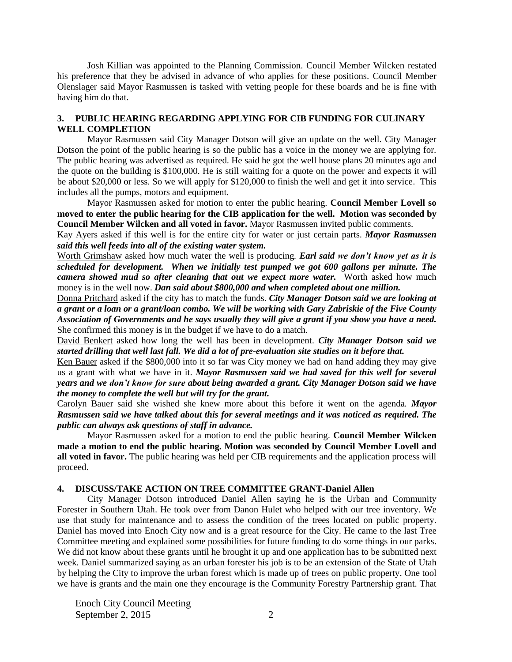Josh Killian was appointed to the Planning Commission. Council Member Wilcken restated his preference that they be advised in advance of who applies for these positions. Council Member Olenslager said Mayor Rasmussen is tasked with vetting people for these boards and he is fine with having him do that.

## **3. PUBLIC HEARING REGARDING APPLYING FOR CIB FUNDING FOR CULINARY WELL COMPLETION**

Mayor Rasmussen said City Manager Dotson will give an update on the well. City Manager Dotson the point of the public hearing is so the public has a voice in the money we are applying for. The public hearing was advertised as required. He said he got the well house plans 20 minutes ago and the quote on the building is \$100,000. He is still waiting for a quote on the power and expects it will be about \$20,000 or less. So we will apply for \$120,000 to finish the well and get it into service. This includes all the pumps, motors and equipment.

Mayor Rasmussen asked for motion to enter the public hearing. **Council Member Lovell so moved to enter the public hearing for the CIB application for the well. Motion was seconded by Council Member Wilcken and all voted in favor.** Mayor Rasmussen invited public comments.

Kay Ayers asked if this well is for the entire city for water or just certain parts. *Mayor Rasmussen said this well feeds into all of the existing water system.* 

Worth Grimshaw asked how much water the well is producing*. Earl said we don't know yet as it is scheduled for development. When we initially test pumped we got 600 gallons per minute. The camera showed mud so after cleaning that out we expect more water.*Worth asked how much money is in the well now. *Dan said about \$800,000 and when completed about one million.* 

Donna Pritchard asked if the city has to match the funds. *City Manager Dotson said we are looking at a grant or a loan or a grant/loan combo. We will be working with Gary Zabriskie of the Five County Association of Governments and he says usually they will give a grant if you show you have a need.*  She confirmed this money is in the budget if we have to do a match.

David Benkert asked how long the well has been in development. *City Manager Dotson said we started drilling that well last fall. We did a lot of pre-evaluation site studies on it before that.*

Ken Bauer asked if the \$800,000 into it so far was City money we had on hand adding they may give us a grant with what we have in it. *Mayor Rasmussen said we had saved for this well for several years and we don't know for sure about being awarded a grant. City Manager Dotson said we have the money to complete the well but will try for the grant.*

Carolyn Bauer said she wished she knew more about this before it went on the agenda*. Mayor Rasmussen said we have talked about this for several meetings and it was noticed as required. The public can always ask questions of staff in advance.* 

Mayor Rasmussen asked for a motion to end the public hearing. **Council Member Wilcken made a motion to end the public hearing. Motion was seconded by Council Member Lovell and all voted in favor.** The public hearing was held per CIB requirements and the application process will proceed.

## **4. DISCUSS/TAKE ACTION ON TREE COMMITTEE GRANT-Daniel Allen**

City Manager Dotson introduced Daniel Allen saying he is the Urban and Community Forester in Southern Utah. He took over from Danon Hulet who helped with our tree inventory. We use that study for maintenance and to assess the condition of the trees located on public property. Daniel has moved into Enoch City now and is a great resource for the City. He came to the last Tree Committee meeting and explained some possibilities for future funding to do some things in our parks. We did not know about these grants until he brought it up and one application has to be submitted next week. Daniel summarized saying as an urban forester his job is to be an extension of the State of Utah by helping the City to improve the urban forest which is made up of trees on public property. One tool we have is grants and the main one they encourage is the Community Forestry Partnership grant. That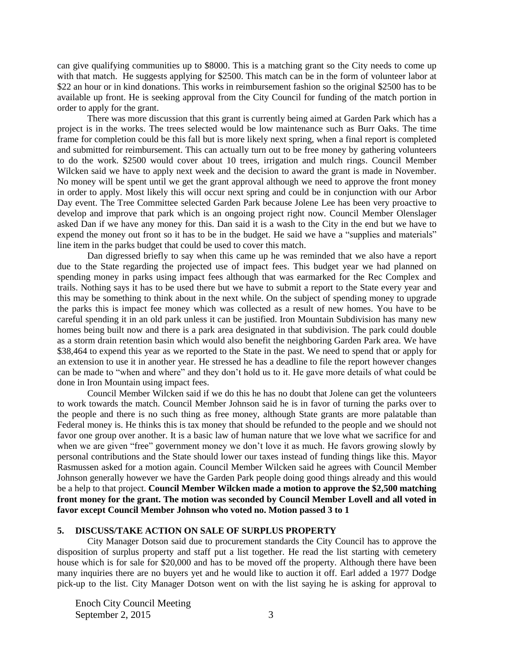can give qualifying communities up to \$8000. This is a matching grant so the City needs to come up with that match. He suggests applying for \$2500. This match can be in the form of volunteer labor at \$22 an hour or in kind donations. This works in reimbursement fashion so the original \$2500 has to be available up front. He is seeking approval from the City Council for funding of the match portion in order to apply for the grant.

There was more discussion that this grant is currently being aimed at Garden Park which has a project is in the works. The trees selected would be low maintenance such as Burr Oaks. The time frame for completion could be this fall but is more likely next spring, when a final report is completed and submitted for reimbursement. This can actually turn out to be free money by gathering volunteers to do the work. \$2500 would cover about 10 trees, irrigation and mulch rings. Council Member Wilcken said we have to apply next week and the decision to award the grant is made in November. No money will be spent until we get the grant approval although we need to approve the front money in order to apply. Most likely this will occur next spring and could be in conjunction with our Arbor Day event. The Tree Committee selected Garden Park because Jolene Lee has been very proactive to develop and improve that park which is an ongoing project right now. Council Member Olenslager asked Dan if we have any money for this. Dan said it is a wash to the City in the end but we have to expend the money out front so it has to be in the budget. He said we have a "supplies and materials" line item in the parks budget that could be used to cover this match.

Dan digressed briefly to say when this came up he was reminded that we also have a report due to the State regarding the projected use of impact fees. This budget year we had planned on spending money in parks using impact fees although that was earmarked for the Rec Complex and trails. Nothing says it has to be used there but we have to submit a report to the State every year and this may be something to think about in the next while. On the subject of spending money to upgrade the parks this is impact fee money which was collected as a result of new homes. You have to be careful spending it in an old park unless it can be justified. Iron Mountain Subdivision has many new homes being built now and there is a park area designated in that subdivision. The park could double as a storm drain retention basin which would also benefit the neighboring Garden Park area. We have \$38,464 to expend this year as we reported to the State in the past. We need to spend that or apply for an extension to use it in another year. He stressed he has a deadline to file the report however changes can be made to "when and where" and they don't hold us to it. He gave more details of what could be done in Iron Mountain using impact fees.

Council Member Wilcken said if we do this he has no doubt that Jolene can get the volunteers to work towards the match. Council Member Johnson said he is in favor of turning the parks over to the people and there is no such thing as free money, although State grants are more palatable than Federal money is. He thinks this is tax money that should be refunded to the people and we should not favor one group over another. It is a basic law of human nature that we love what we sacrifice for and when we are given "free" government money we don't love it as much. He favors growing slowly by personal contributions and the State should lower our taxes instead of funding things like this. Mayor Rasmussen asked for a motion again. Council Member Wilcken said he agrees with Council Member Johnson generally however we have the Garden Park people doing good things already and this would be a help to that project. **Council Member Wilcken made a motion to approve the \$2,500 matching front money for the grant. The motion was seconded by Council Member Lovell and all voted in favor except Council Member Johnson who voted no. Motion passed 3 to 1**

## **5. DISCUSS/TAKE ACTION ON SALE OF SURPLUS PROPERTY**

City Manager Dotson said due to procurement standards the City Council has to approve the disposition of surplus property and staff put a list together. He read the list starting with cemetery house which is for sale for \$20,000 and has to be moved off the property. Although there have been many inquiries there are no buyers yet and he would like to auction it off. Earl added a 1977 Dodge pick-up to the list. City Manager Dotson went on with the list saying he is asking for approval to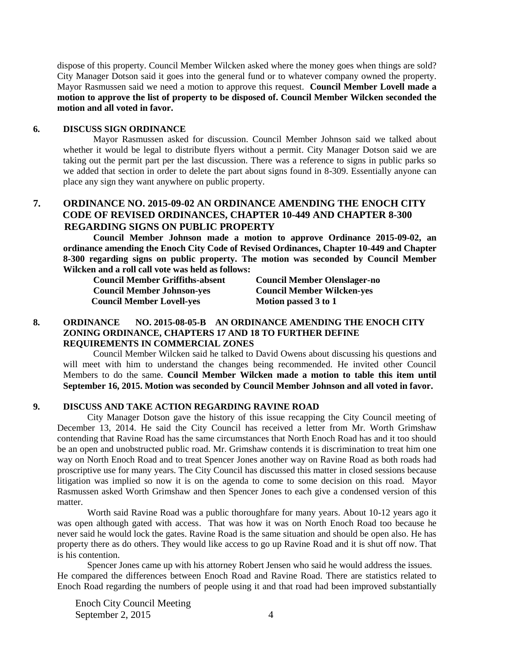dispose of this property. Council Member Wilcken asked where the money goes when things are sold? City Manager Dotson said it goes into the general fund or to whatever company owned the property. Mayor Rasmussen said we need a motion to approve this request. **Council Member Lovell made a motion to approve the list of property to be disposed of. Council Member Wilcken seconded the motion and all voted in favor.** 

# **6. DISCUSS SIGN ORDINANCE**

Mayor Rasmussen asked for discussion. Council Member Johnson said we talked about whether it would be legal to distribute flyers without a permit. City Manager Dotson said we are taking out the permit part per the last discussion. There was a reference to signs in public parks so we added that section in order to delete the part about signs found in 8-309. Essentially anyone can place any sign they want anywhere on public property.

# **7. ORDINANCE NO. 2015-09-02 AN ORDINANCE AMENDING THE ENOCH CITY CODE OF REVISED ORDINANCES, CHAPTER 10-449 AND CHAPTER 8-300 REGARDING SIGNS ON PUBLIC PROPERTY**

**Council Member Johnson made a motion to approve Ordinance 2015-09-02, an ordinance amending the Enoch City Code of Revised Ordinances, Chapter 10-449 and Chapter 8-300 regarding signs on public property. The motion was seconded by Council Member Wilcken and a roll call vote was held as follows:**

**Council Member Griffiths-absent Council Member Olenslager-no Council Member Johnson-yes Council Member Wilcken-yes Council Member Lovell-yes Motion passed 3 to 1** 

## **8. ORDINANCE NO. 2015-08-05-B AN ORDINANCE AMENDING THE ENOCH CITY ZONING ORDINANCE, CHAPTERS 17 AND 18 TO FURTHER DEFINE REQUIREMENTS IN COMMERCIAL ZONES**

Council Member Wilcken said he talked to David Owens about discussing his questions and will meet with him to understand the changes being recommended. He invited other Council Members to do the same. **Council Member Wilcken made a motion to table this item until September 16, 2015. Motion was seconded by Council Member Johnson and all voted in favor.** 

### **9. DISCUSS AND TAKE ACTION REGARDING RAVINE ROAD**

City Manager Dotson gave the history of this issue recapping the City Council meeting of December 13, 2014. He said the City Council has received a letter from Mr. Worth Grimshaw contending that Ravine Road has the same circumstances that North Enoch Road has and it too should be an open and unobstructed public road. Mr. Grimshaw contends it is discrimination to treat him one way on North Enoch Road and to treat Spencer Jones another way on Ravine Road as both roads had proscriptive use for many years. The City Council has discussed this matter in closed sessions because litigation was implied so now it is on the agenda to come to some decision on this road. Mayor Rasmussen asked Worth Grimshaw and then Spencer Jones to each give a condensed version of this matter.

Worth said Ravine Road was a public thoroughfare for many years. About 10-12 years ago it was open although gated with access. That was how it was on North Enoch Road too because he never said he would lock the gates. Ravine Road is the same situation and should be open also. He has property there as do others. They would like access to go up Ravine Road and it is shut off now. That is his contention.

 Spencer Jones came up with his attorney Robert Jensen who said he would address the issues. He compared the differences between Enoch Road and Ravine Road. There are statistics related to Enoch Road regarding the numbers of people using it and that road had been improved substantially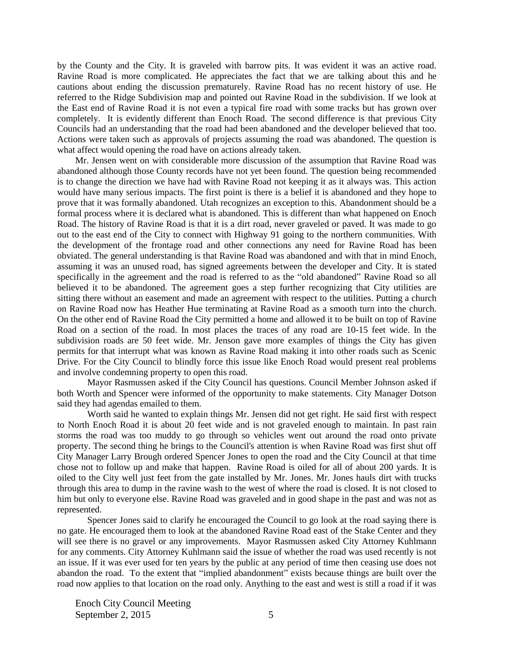by the County and the City. It is graveled with barrow pits. It was evident it was an active road. Ravine Road is more complicated. He appreciates the fact that we are talking about this and he cautions about ending the discussion prematurely. Ravine Road has no recent history of use. He referred to the Ridge Subdivision map and pointed out Ravine Road in the subdivision. If we look at the East end of Ravine Road it is not even a typical fire road with some tracks but has grown over completely. It is evidently different than Enoch Road. The second difference is that previous City Councils had an understanding that the road had been abandoned and the developer believed that too. Actions were taken such as approvals of projects assuming the road was abandoned. The question is what affect would opening the road have on actions already taken.

Mr. Jensen went on with considerable more discussion of the assumption that Ravine Road was abandoned although those County records have not yet been found. The question being recommended is to change the direction we have had with Ravine Road not keeping it as it always was. This action would have many serious impacts. The first point is there is a belief it is abandoned and they hope to prove that it was formally abandoned. Utah recognizes an exception to this. Abandonment should be a formal process where it is declared what is abandoned. This is different than what happened on Enoch Road. The history of Ravine Road is that it is a dirt road, never graveled or paved. It was made to go out to the east end of the City to connect with Highway 91 going to the northern communities. With the development of the frontage road and other connections any need for Ravine Road has been obviated. The general understanding is that Ravine Road was abandoned and with that in mind Enoch, assuming it was an unused road, has signed agreements between the developer and City. It is stated specifically in the agreement and the road is referred to as the "old abandoned" Ravine Road so all believed it to be abandoned. The agreement goes a step further recognizing that City utilities are sitting there without an easement and made an agreement with respect to the utilities. Putting a church on Ravine Road now has Heather Hue terminating at Ravine Road as a smooth turn into the church. On the other end of Ravine Road the City permitted a home and allowed it to be built on top of Ravine Road on a section of the road. In most places the traces of any road are 10-15 feet wide. In the subdivision roads are 50 feet wide. Mr. Jenson gave more examples of things the City has given permits for that interrupt what was known as Ravine Road making it into other roads such as Scenic Drive. For the City Council to blindly force this issue like Enoch Road would present real problems and involve condemning property to open this road.

Mayor Rasmussen asked if the City Council has questions. Council Member Johnson asked if both Worth and Spencer were informed of the opportunity to make statements. City Manager Dotson said they had agendas emailed to them.

Worth said he wanted to explain things Mr. Jensen did not get right. He said first with respect to North Enoch Road it is about 20 feet wide and is not graveled enough to maintain. In past rain storms the road was too muddy to go through so vehicles went out around the road onto private property. The second thing he brings to the Council's attention is when Ravine Road was first shut off City Manager Larry Brough ordered Spencer Jones to open the road and the City Council at that time chose not to follow up and make that happen. Ravine Road is oiled for all of about 200 yards. It is oiled to the City well just feet from the gate installed by Mr. Jones. Mr. Jones hauls dirt with trucks through this area to dump in the ravine wash to the west of where the road is closed. It is not closed to him but only to everyone else. Ravine Road was graveled and in good shape in the past and was not as represented.

Spencer Jones said to clarify he encouraged the Council to go look at the road saying there is no gate. He encouraged them to look at the abandoned Ravine Road east of the Stake Center and they will see there is no gravel or any improvements. Mayor Rasmussen asked City Attorney Kuhlmann for any comments. City Attorney Kuhlmann said the issue of whether the road was used recently is not an issue. If it was ever used for ten years by the public at any period of time then ceasing use does not abandon the road. To the extent that "implied abandonment" exists because things are built over the road now applies to that location on the road only. Anything to the east and west is still a road if it was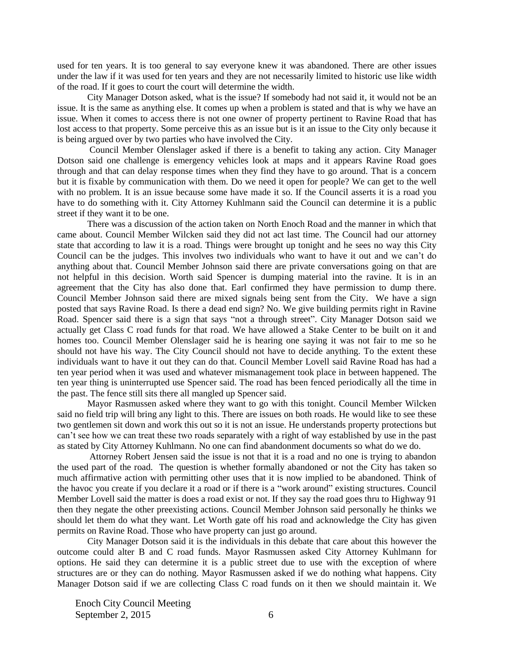used for ten years. It is too general to say everyone knew it was abandoned. There are other issues under the law if it was used for ten years and they are not necessarily limited to historic use like width of the road. If it goes to court the court will determine the width.

City Manager Dotson asked, what is the issue? If somebody had not said it, it would not be an issue. It is the same as anything else. It comes up when a problem is stated and that is why we have an issue. When it comes to access there is not one owner of property pertinent to Ravine Road that has lost access to that property. Some perceive this as an issue but is it an issue to the City only because it is being argued over by two parties who have involved the City.

Council Member Olenslager asked if there is a benefit to taking any action. City Manager Dotson said one challenge is emergency vehicles look at maps and it appears Ravine Road goes through and that can delay response times when they find they have to go around. That is a concern but it is fixable by communication with them. Do we need it open for people? We can get to the well with no problem. It is an issue because some have made it so. If the Council asserts it is a road you have to do something with it. City Attorney Kuhlmann said the Council can determine it is a public street if they want it to be one.

There was a discussion of the action taken on North Enoch Road and the manner in which that came about. Council Member Wilcken said they did not act last time. The Council had our attorney state that according to law it is a road. Things were brought up tonight and he sees no way this City Council can be the judges. This involves two individuals who want to have it out and we can't do anything about that. Council Member Johnson said there are private conversations going on that are not helpful in this decision. Worth said Spencer is dumping material into the ravine. It is in an agreement that the City has also done that. Earl confirmed they have permission to dump there. Council Member Johnson said there are mixed signals being sent from the City. We have a sign posted that says Ravine Road. Is there a dead end sign? No. We give building permits right in Ravine Road. Spencer said there is a sign that says "not a through street". City Manager Dotson said we actually get Class C road funds for that road. We have allowed a Stake Center to be built on it and homes too. Council Member Olenslager said he is hearing one saying it was not fair to me so he should not have his way. The City Council should not have to decide anything. To the extent these individuals want to have it out they can do that. Council Member Lovell said Ravine Road has had a ten year period when it was used and whatever mismanagement took place in between happened. The ten year thing is uninterrupted use Spencer said. The road has been fenced periodically all the time in the past. The fence still sits there all mangled up Spencer said.

Mayor Rasmussen asked where they want to go with this tonight. Council Member Wilcken said no field trip will bring any light to this. There are issues on both roads. He would like to see these two gentlemen sit down and work this out so it is not an issue. He understands property protections but can't see how we can treat these two roads separately with a right of way established by use in the past as stated by City Attorney Kuhlmann. No one can find abandonment documents so what do we do.

Attorney Robert Jensen said the issue is not that it is a road and no one is trying to abandon the used part of the road. The question is whether formally abandoned or not the City has taken so much affirmative action with permitting other uses that it is now implied to be abandoned. Think of the havoc you create if you declare it a road or if there is a "work around" existing structures. Council Member Lovell said the matter is does a road exist or not. If they say the road goes thru to Highway 91 then they negate the other preexisting actions. Council Member Johnson said personally he thinks we should let them do what they want. Let Worth gate off his road and acknowledge the City has given permits on Ravine Road. Those who have property can just go around.

City Manager Dotson said it is the individuals in this debate that care about this however the outcome could alter B and C road funds. Mayor Rasmussen asked City Attorney Kuhlmann for options. He said they can determine it is a public street due to use with the exception of where structures are or they can do nothing. Mayor Rasmussen asked if we do nothing what happens. City Manager Dotson said if we are collecting Class C road funds on it then we should maintain it. We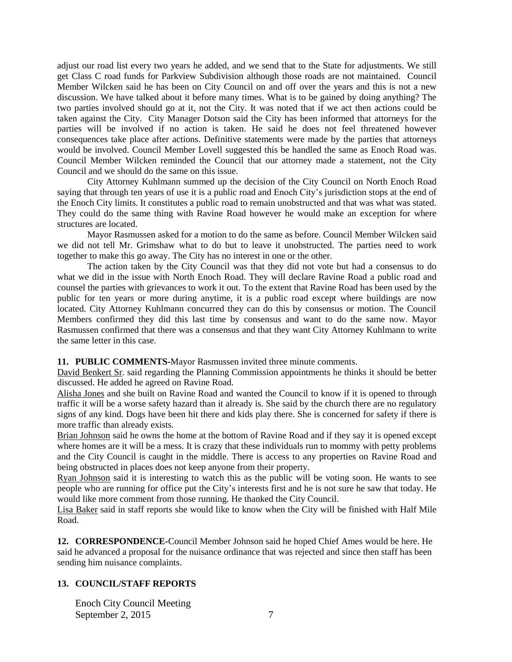adjust our road list every two years he added, and we send that to the State for adjustments. We still get Class C road funds for Parkview Subdivision although those roads are not maintained. Council Member Wilcken said he has been on City Council on and off over the years and this is not a new discussion. We have talked about it before many times. What is to be gained by doing anything? The two parties involved should go at it, not the City. It was noted that if we act then actions could be taken against the City. City Manager Dotson said the City has been informed that attorneys for the parties will be involved if no action is taken. He said he does not feel threatened however consequences take place after actions. Definitive statements were made by the parties that attorneys would be involved. Council Member Lovell suggested this be handled the same as Enoch Road was. Council Member Wilcken reminded the Council that our attorney made a statement, not the City Council and we should do the same on this issue.

City Attorney Kuhlmann summed up the decision of the City Council on North Enoch Road saying that through ten years of use it is a public road and Enoch City's jurisdiction stops at the end of the Enoch City limits. It constitutes a public road to remain unobstructed and that was what was stated. They could do the same thing with Ravine Road however he would make an exception for where structures are located.

Mayor Rasmussen asked for a motion to do the same as before. Council Member Wilcken said we did not tell Mr. Grimshaw what to do but to leave it unobstructed. The parties need to work together to make this go away. The City has no interest in one or the other.

The action taken by the City Council was that they did not vote but had a consensus to do what we did in the issue with North Enoch Road. They will declare Ravine Road a public road and counsel the parties with grievances to work it out. To the extent that Ravine Road has been used by the public for ten years or more during anytime, it is a public road except where buildings are now located. City Attorney Kuhlmann concurred they can do this by consensus or motion. The Council Members confirmed they did this last time by consensus and want to do the same now. Mayor Rasmussen confirmed that there was a consensus and that they want City Attorney Kuhlmann to write the same letter in this case.

#### **11. PUBLIC COMMENTS-**Mayor Rasmussen invited three minute comments.

David Benkert Sr. said regarding the Planning Commission appointments he thinks it should be better discussed. He added he agreed on Ravine Road.

Alisha Jones and she built on Ravine Road and wanted the Council to know if it is opened to through traffic it will be a worse safety hazard than it already is. She said by the church there are no regulatory signs of any kind. Dogs have been hit there and kids play there. She is concerned for safety if there is more traffic than already exists.

Brian Johnson said he owns the home at the bottom of Ravine Road and if they say it is opened except where homes are it will be a mess. It is crazy that these individuals run to mommy with petty problems and the City Council is caught in the middle. There is access to any properties on Ravine Road and being obstructed in places does not keep anyone from their property.

Ryan Johnson said it is interesting to watch this as the public will be voting soon. He wants to see people who are running for office put the City's interests first and he is not sure he saw that today. He would like more comment from those running. He thanked the City Council.

Lisa Baker said in staff reports she would like to know when the City will be finished with Half Mile Road.

**12. CORRESPONDENCE-**Council Member Johnson said he hoped Chief Ames would be here. He said he advanced a proposal for the nuisance ordinance that was rejected and since then staff has been sending him nuisance complaints.

# **13. COUNCIL/STAFF REPORTS**